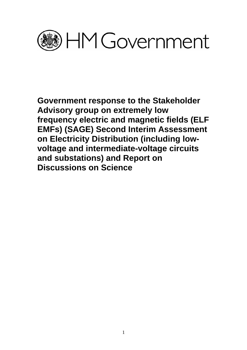

**Government response to the Stakeholder Advisory group on extremely low frequency electric and magnetic fields (ELF EMFs) (SAGE) Second Interim Assessment on Electricity Distribution (including lowvoltage and intermediate-voltage circuits and substations) and Report on Discussions on Science**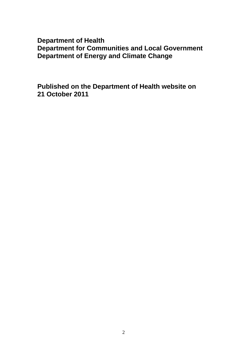# **Department of Health Department for Communities and Local Government Department of Energy and Climate Change**

**Published on the Department of Health website on 21 October 2011**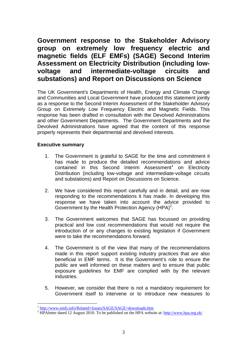# **Government response to the Stakeholder Advisory group on extremely low frequency electric and magnetic fields (ELF EMFs) (SAGE) Second Interim Assessment on Electricity Distribution (including lowvoltage and intermediate-voltage circuits and substations) and Report on Discussions on Science**

The UK Government's Departments of Health, Energy and Climate Change and Communities and Local Government have produced this statement jointly as a response to the Second Interim Assessment of the Stakeholder Advisory Group on Extremely Low Frequency Electric and Magnetic Fields. This response has been drafted in consultation with the Devolved Administrations and other Government Departments. The Government Departments and the Devolved Administrations have agreed that the content of this response properly represents their departmental and devolved interests.

# **Executive summary**

 $\overline{a}$ 

- 1. The Government is grateful to SAGE for the time and commitment it has made to produce the detailed recommendations and advice contained in this Second Interim Assessment<sup>[1](#page-2-0)</sup> on Electricity Distribution (including low-voltage and intermediate-voltage circuits and substations) and Report on Discussions on Science.
- 2. We have considered this report carefully and in detail, and are now responding to the recommendations it has made. In developing this response we have taken into account the advice provided to Government by the Health Protection Agency  $(HPA)^2$  $(HPA)^2$ .
- 3. The Government welcomes that SAGE has focussed on providing practical and low cost recommendations that would not require the introduction of or any changes to existing legislation if Government were to take the recommendations forward.
- 4. The Government is of the view that many of the recommendations made in this report support existing industry practices that are also beneficial in EMF terms. It is the Government's role to ensure the public are well informed on these matters and to ensure that public exposure guidelines for EMF are complied with by the relevant industries.
- 5. However, we consider that there is not a mandatory requirement for Government itself to intervene or to introduce new measures to

<span id="page-2-0"></span> $\frac{1 \text{ http://www.emfs.info/Related+Issues/SAGE/SAGE+downloads.htm}}{2 \text{ HD} \Delta \cdot \text{http://www.emfs.info/Related+Issues/SAGE/SAGE+downloads.htm}}$ 

<span id="page-2-1"></span><sup>&</sup>lt;sup>2</sup> HPAletter dated 12 August 2010. To be published on the HPA website at: http://www.hpa.org.uk/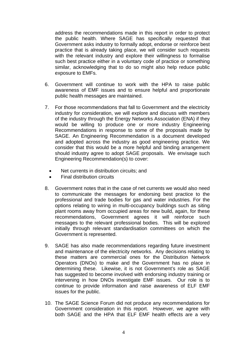address the recommendations made in this report in order to protect the public health. Where SAGE has specifically requested that Government asks industry to formally adopt, endorse or reinforce best practice that is already taking place, we will consider such requests with the relevant industry and explore their willingness to formalise such best practice either in a voluntary code of practice or something similar, acknowledging that to do so might also help reduce public exposure to EMFs.

- 6. Government will continue to work with the HPA to raise public awareness of EMF issues and to ensure helpful and proportionate public health messages are maintained.
- 7. For those recommendations that fall to Government and the electricity industry for consideration, we will explore and discuss with members of the industry through the Energy Networks Association (ENA) if they would be willing to produce one or more industry Engineering Recommendations in response to some of the proposals made by SAGE. An Engineering Recommendation is a document developed and adopted across the industry as good engineering practice. We consider that this would be a more helpful and binding arrangement should industry agree to adopt SAGE proposals. We envisage such Engineering Recommendation(s) to cover:
	- Net currents in distribution circuits: and
	- Final distribution circuits
- 8. Government notes that in the case of net currents we would also need to communicate the messages for endorsing best practice to the professional and trade bodies for gas and water industries. For the options relating to wiring in multi-occupancy buildings such as siting plant rooms away from occupied areas for new build, again, for these recommendations, Government agrees it will reinforce such messages to the relevant professional bodies. This will be explored initially through relevant standardisation committees on which the Government is represented.
- 9. SAGE has also made recommendations regarding future investment and maintenance of the electricity networks. Any decisions relating to these matters are commercial ones for the Distribution Network Operators (DNOs) to make and the Government has no place in determining these. Likewise, it is not Government's role as SAGE has suggested to become involved with endorsing industry training or intervening in how DNOs investigate EMF issues. Our role is to continue to provide information and raise awareness of ELF EMF issues for the public.
- 10. The SAGE Science Forum did not produce any recommendations for Government consideration in this report. However, we agree with both SAGE and the HPA that ELF EMF health effects are a very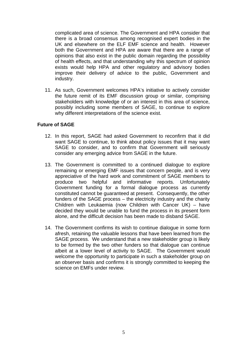complicated area of science. The Government and HPA consider that there is a broad consensus among recognised expert bodies in the UK and elsewhere on the ELF EMF science and health. However both the Government and HPA are aware that there are a range of opinions that also exist in the public domain regarding the possibility of health effects, and that understanding why this spectrum of opinion exists would help HPA and other regulatory and advisory bodies improve their delivery of advice to the public, Government and industry.

11. As such, Government welcomes HPA's initiative to actively consider the future remit of its EMF discussion group or similar, comprising stakeholders with knowledge of or an interest in this area of science, possibly including some members of SAGE, to continue to explore why different interpretations of the science exist.

# **Future of SAGE**

- 12. In this report, SAGE had asked Government to reconfirm that it did want SAGE to continue, to think about policy issues that it may want SAGE to consider, and to confirm that Government will seriously consider any emerging advice from SAGE in the future.
- 13. The Government is committed to a continued dialogue to explore remaining or emerging EMF issues that concern people, and is very appreciative of the hard work and commitment of SAGE members to produce two helpful and informative reports. Unfortunately Government funding for a formal dialogue process as currently constituted cannot be guaranteed at present. Consequently, the other funders of the SAGE process – the electricity industry and the charity Children with Leukaemia (now Children with Cancer UK) – have decided they would be unable to fund the process in its present form alone, and the difficult decision has been made to disband SAGE.
- 14. The Government confirms its wish to continue dialogue in some form afresh, retaining the valuable lessons that have been learned from the SAGE process. We understand that a new stakeholder group is likely to be formed by the two other funders so that dialogue can continue albeit at a lower level of activity to SAGE. The Government would welcome the opportunity to participate in such a stakeholder group on an observer basis and confirms it is strongly committed to keeping the science on EMFs under review.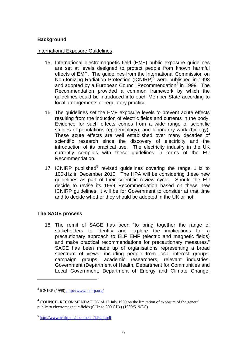# **Background**

## International Exposure Guidelines

- 15. International electromagnetic field (EMF) public exposure guidelines are set at levels designed to protect people from known harmful effects of EMF. The guidelines from the International Commission on Non-Ionizing Radiation Protection (ICNIRP)<sup>[3](#page-5-0)</sup> were published in 1998 and adopted by a European Council Recommendation<sup>[4](#page-5-1)</sup> in 1999. The Recommendation provided a common framework by which the guidelines could be introduced into each Member State according to local arrangements or regulatory practice.
- 16. The guidelines set the EMF exposure levels to prevent acute effects resulting from the induction of electric fields and currents in the body. Evidence for such effects comes from a wide range of scientific studies of populations (epidemiology), and laboratory work (biology). These acute effects are well established over many decades of scientific research since the discovery of electricity and the introduction of its practical use. The electricity industry in the UK currently complies with these guidelines in terms of the EU Recommendation.
- 17. ICNIRP published<sup>[5](#page-5-2)</sup> revised guidelines covering the range 1Hz to 100kHz in December 2010. The HPA will be considering these new guidelines as part of their scientific review cycle. Should the EU decide to revise its 1999 Recommendation based on these new ICNIRP guidelines, it will be for Government to consider at that time and to decide whether they should be adopted in the UK or not.

# **The SAGE process**

18. The remit of SAGE has been "to bring together the range of stakeholders to identify and explore the implications for a precautionary approach to ELF EMF (electric and magnetic fields) and make practical recommendations for precautionary measures." SAGE has been made up of organisations representing a broad spectrum of views, including people from local interest groups, campaign groups, academic researchers, relevant industries, Government (Department of Health, Department for Communities and Local Government, Department of Energy and Climate Change,

 $\overline{a}$ 

<span id="page-5-0"></span> $3$  ICNIRP (1998) http://www.icnirp.org/

<span id="page-5-1"></span><sup>4</sup> COUNCIL RECOMMENDATION of 12 July 1999 on the limitation of exposure of the general public to electromagnetic fields (0 Hz to 300 GHz) (1999/519/EC)

<span id="page-5-2"></span><sup>5</sup> <http://www.icnirp.de/documents/LFgdl.pdf>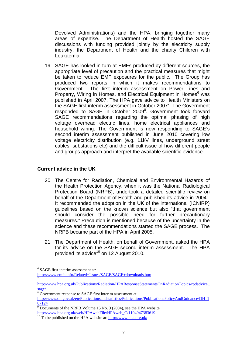Devolved Administrations) and the HPA, bringing together many areas of expertise. The Department of Health hosted the SAGE discussions with funding provided jointly by the electricity supply industry, the Department of Health and the charity Children with Leukaemia.

19. SAGE has looked in turn at EMFs produced by different sources, the appropriate level of precaution and the practical measures that might be taken to reduce EMF exposures for the public. The Group has produced two reports in which it makes recommendations to Government. The first interim assessment on Power Lines and Property, Wiring in Homes, and Electrical Equipment in Homes<sup>[6](#page-6-0)</sup> was published in April 2007. The HPA gave advice to Health Ministers on the SAGE first interim assessment in October 2007<sup>7</sup>. The Government responded to SAGE in October 2009<sup>[8](#page-6-2)</sup>. Government took forward SAGE recommendations regarding the optimal phasing of high voltage overhead electric lines, home electrical appliances and household wiring. The Government is now responding to SAGE's second interim assessment published in June 2010 covering low voltage electricity distribution (e.g. 11kV lines, underground street cables, substations etc) and the difficult issue of how different people and groups approach and interpret the available scientific evidence.

# **Current advice in the UK**

- 20. The Centre for Radiation, Chemical and Environmental Hazards of the Health Protection Agency, when it was the National Radiological Protection Board (NRPB), undertook a detailed scientific review on behalf of the Department of Health and published its advice in 2004 $^9$  $^9$ . It recommended the adoption in the UK of the international (ICNIRP) guidelines based on the known science but also "that government should consider the possible need for further precautionary measures." Precaution is mentioned because of the uncertainty in the science and these recommendations started the SAGE process. The NRPB became part of the HPA in April 2005.
- 21. The Department of Health, on behalf of Government, asked the HPA for its advice on the SAGE second interim assessment. The HPA provided its advice $10$  on 12 August 2010.

 $\overline{a}$ 

<http://www.emfs.info/Related+Issues/SAGE/SAGE+downloads.htm> [7](http://www.emfs.info/Related+Issues/SAGE/SAGE+downloads.htm)

<span id="page-6-0"></span><sup>6</sup> SAGE first interim assessment at:

<span id="page-6-1"></span>[http://www.hpa.org.uk/Publications/Radiation/HPAResponseStatementsOnRadiationTopics/rpdadvice\\_](http://www.hpa.org.uk/Publications/Radiation/HPAResponseStatementsOnRadiationTopics/rpdadvice_sage/) sage/

<span id="page-6-2"></span><sup>&</sup>lt;sup>8</sup>Government response to SAGE first interim assessment at:

[http://www.dh.gov.uk/en/Publicationsandstatistics/Publications/PublicationsPolicyAndGuidance/DH\\_1](http://www.dh.gov.uk/en/Publicationsandstatistics/Publications/PublicationsPolicyAndGuidance/DH_107124) [07124](http://www.dh.gov.uk/en/Publicationsandstatistics/Publications/PublicationsPolicyAndGuidance/DH_107124)

<span id="page-6-3"></span> $\frac{1}{9}$  Documents of the NRPB Volume 15 No. 3 (2004), see the HPA website http://www.hpa.org.uk/web/HPAwebFile/HPAweb C/1194947383619

<span id="page-6-4"></span> $\frac{10}{10}$  $\frac{10}{10}$  $\frac{10}{10}$  To be published on the HPA website at: http://www.hpa.org.uk/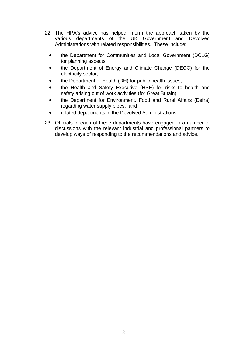- 22. The HPA's advice has helped inform the approach taken by the various departments of the UK Government and Devolved Administrations with related responsibilities. These include:
	- the Department for Communities and Local Government (DCLG) for planning aspects,
	- the Department of Energy and Climate Change (DECC) for the electricity sector,
	- the Department of Health (DH) for public health issues,
	- the Health and Safety Executive (HSE) for risks to health and safety arising out of work activities (for Great Britain),
	- the Department for Environment, Food and Rural Affairs (Defra) regarding water supply pipes, and
	- related departments in the Devolved Administrations.
- 23. Officials in each of these departments have engaged in a number of discussions with the relevant industrial and professional partners to develop ways of responding to the recommendations and advice.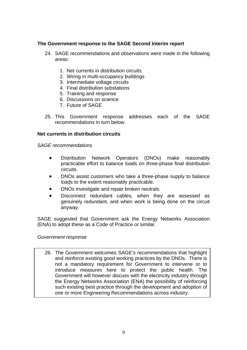# **The Government response to the SAGE Second Interim report**

- 24. SAGE recommendations and observations were made in the following areas:
	- 1. Net currents in distribution circuits
	- 2. Wiring in multi-occupancy buildings
	- 3. Intermediate voltage circuits
	- 4. Final distribution substations
	- 5. Training and response
	- 6. Discussions on science
	- 7. Future of SAGE
- 25. This Government response addresses each of the SAGE recommendations in turn below.

## **Net currents in distribution circuits**

*SAGE recommendations* 

- Distribution Network Operators (DNOs) make reasonably practicable effort to balance loads on three-phase final distribution circuits.
- DNOs assist customers who take a three-phase supply to balance loads to the extent reasonably practicable.
- DNOs investigate and repair broken neutrals.
- Disconnect redundant cables, when they are assessed as genuinely redundant, and when work is being done on the circuit anyway.

SAGE suggested that Government ask the Energy Networks Association (ENA) to adopt these as a Code of Practice or similar.

#### *Government response*

26. The Government welcomes SAGE's recommendations that highlight and reinforce existing good working practices by the DNOs. There is not a mandatory requirement for Government to intervene or to introduce measures here to protect the public health. The Government will however discuss with the electricity industry through the Energy Networks Association (ENA) the possibility of reinforcing such existing best practice through the development and adoption of one or more Engineering Recommendations across industry.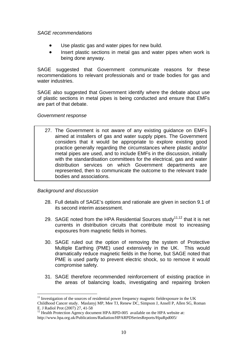## *SAGE recommendations*

- Use plastic gas and water pipes for new build.
- Insert plastic sections in metal gas and water pipes when work is being done anyway.

SAGE suggested that Government communicate reasons for these recommendations to relevant professionals and or trade bodies for gas and water industries.

SAGE also suggested that Government identify where the debate about use of plastic sections in metal pipes is being conducted and ensure that EMFs are part of that debate.

## *Government response*

27. The Government is not aware of any existing guidance on EMFs aimed at installers of gas and water supply pipes. The Government considers that it would be appropriate to explore existing good practice generally regarding the circumstances where plastic and/or metal pipes are used, and to include EMFs in the discussion, initially with the standardisation committees for the electrical, gas and water distribution services on which Government departments are represented, then to communicate the outcome to the relevant trade bodies and associations.

# *Background and discussion*

 $\overline{a}$ 

- 28. Full details of SAGE's options and rationale are given in section 9.1 of its second interim assessment.
- 29. SAGE noted from the HPA Residential Sources study<sup>[11,](#page-9-0)12</sup> that it is net currents in distribution circuits that contribute most to increasing exposures from magnetic fields in homes.
- 30. SAGE ruled out the option of removing the system of Protective Multiple Earthing (PME) used extensively in the UK. This would dramatically reduce magnetic fields in the home, but SAGE noted that PME is used partly to prevent electric shock, so to remove it would compromise safety.
- 31. SAGE therefore recommended reinforcement of existing practice in the areas of balancing loads, investigating and repairing broken

<span id="page-9-0"></span> $11$  Investigation of the sources of residential power frequency magnetic fieldexposure in the UK Childhood Cancer study. Maslanyj MP, Mee TJ, Renew DC, Simpson J, Ansell P, Allen SG, Roman

<span id="page-9-1"></span> $\frac{12}{12}$  Health Protection Agency document HPA-RPD-005 available on the HPA website at: <http://www.hpa.org.uk/Publications/Radiation/HPARPDSeriesReports/HpaRpd005/>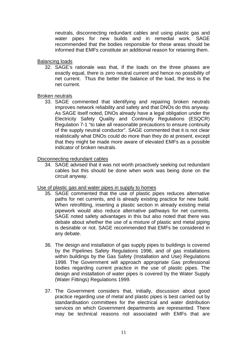neutrals, disconnecting redundant cables and using plastic gas and water pipes for new builds and in remedial work. SAGE recommended that the bodies responsible for these areas should be informed that EMFs constitute an additional reason for retaining them.

## Balancing loads

32. SAGE's rationale was that, if the loads on the three phases are exactly equal, there is zero neutral current and hence no possibility of net current. Thus the better the balance of the load, the less is the net current.

## Broken neutrals

33. SAGE commented that identifying and repairing broken neutrals improves network reliability and safety and that DNOs do this anyway. As SAGE itself noted, DNOs already have a legal obligation under the Electricity Safety Quality and Continuity Regulations (ESQCR) Regulation 7-1 "to take all reasonable precautions to ensure continuity of the supply neutral conductor". SAGE commented that it is not clear realistically what DNOs could do more than they do at present, except that they might be made more aware of elevated EMFs as a possible indicator of broken neutrals.

## Disconnecting redundant cables

34. SAGE advised that it was not worth proactively seeking out redundant cables but this should be done when work was being done on the circuit anyway.

# Use of plastic gas and water pipes in supply to homes

- 35. SAGE commented that the use of plastic pipes reduces alternative paths for net currents, and is already existing practice for new build. When retrofitting, inserting a plastic section in already existing metal pipework would also reduce alternative pathways for net currents. SAGE noted safety advantages in this but also noted that there was debate about whether the use of a mixture of plastic and metal piping is desirable or not. SAGE recommended that EMFs be considered in any debate.
- 36. The design and installation of gas supply pipes to buildings is covered by the Pipelines Safety Regulations 1996, and of gas installations within buildings by the Gas Safety (Installation and Use) Regulations 1998. The Government will approach appropriate Gas professional bodies regarding current practice in the use of plastic pipes. The design and installation of water pipes is covered by the Water Supply (Water Fittings) Regulations 1999.
- 37. The Government considers that, initially, discussion about good practice regarding use of metal and plastic pipes is best carried out by standardisation committees for the electrical and water distribution services on which Government departments are represented. There may be technical reasons not associated with EMFs that are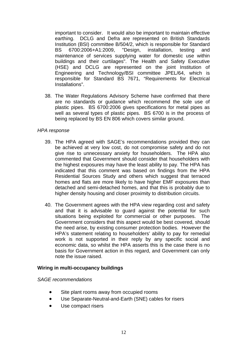important to consider. It would also be important to maintain effective earthing. DCLG and Defra are represented on British Standards Institution (BSI) committee B/504/2, which is responsible for Standard BS 6700:2006+A1:2009, "Design, installation, testing and maintenance of services supplying water for domestic use within buildings and their curtilages". The Health and Safety Executive (HSE) and DCLG are represented on the joint Institution of Engineering and Technology/BSI committee JPEL/64, which is responsible for Standard BS 7671, "Requirements for Electrical Installations".

38. The Water Regulations Advisory Scheme have confirmed that there are no standards or guidance which recommend the sole use of plastic pipes. BS 6700:2006 gives specifications for metal pipes as well as several types of plastic pipes. BS 6700 is in the process of being replaced by BS EN 806 which covers similar ground.

# *HPA response*

- 39. The HPA agreed with SAGE's recommendations provided they can be achieved at very low cost, do not compromise safety and do not give rise to unnecessary anxiety for householders. The HPA also commented that Government should consider that householders with the highest exposures may have the least ability to pay. The HPA has indicated that this comment was based on findings from the HPA Residential Sources Study and others which suggest that terraced homes and flats are more likely to have higher EMF exposures than detached and semi-detached homes, and that this is probably due to higher density housing and closer proximity to distribution circuits.
- 40. The Government agrees with the HPA view regarding cost and safety and that it is advisable to guard against the potential for such situations being exploited for commercial or other purposes. The Government considers that this aspect would be best covered, should the need arise, by existing consumer protection bodies. However the HPA's statement relating to householders' ability to pay for remedial work is not supported in their reply by any specific social and economic data, so whilst the HPA asserts this is the case there is no basis for Government action in this regard, and Government can only note the issue raised.

# **Wiring in multi-occupancy buildings**

# *SAGE recommendations*

- Site plant rooms away from occupied rooms
- Use Separate-Neutral-and-Earth (SNE) cables for risers
- Use compact risers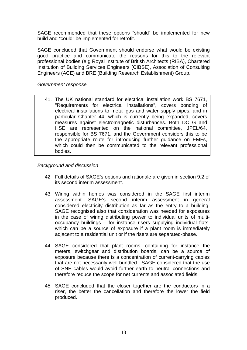SAGE recommended that these options "should" be implemented for new build and "could" be implemented for retrofit.

SAGE concluded that Government should endorse what would be existing good practice and communicate the reasons for this to the relevant professional bodies (e.g Royal Institute of British Architects (RIBA), Chartered Institution of Building Services Engineers (CIBSE), Association of Consulting Engineers (ACE) and BRE (Building Research Establishment) Group.

## *Government response*

41. The UK national standard for electrical installation work BS 7671, "Requirements for electrical installations", covers bonding of electrical installations to metal gas and water supply pipes; and in particular Chapter 44, which is currently being expanded, covers measures against electromagnetic disturbances. Both DCLG and HSE are represented on the national committee, JPEL/64, responsible for BS 7671, and the Government considers this to be the appropriate route for introducing further guidance on EMFs, which could then be communicated to the relevant professional bodies.

# *Background and discussion*

- 42. Full details of SAGE's options and rationale are given in section 9.2 of its second interim assessment.
- 43. Wiring within homes was considered in the SAGE first interim assessment. SAGE's second interim assessment in general considered electricity distribution as far as the entry to a building. SAGE recognised also that consideration was needed for exposures in the case of wiring distributing power to individual units of multioccupancy buildings – for instance risers supplying individual flats, which can be a source of exposure if a plant room is immediately adjacent to a residential unit or if the risers are separated-phase.
- 44. SAGE considered that plant rooms, containing for instance the meters, switchgear and distribution boards, can be a source of exposure because there is a concentration of current-carrying cables that are not necessarily well bundled. SAGE considered that the use of SNE cables would avoid further earth to neutral connections and therefore reduce the scope for net currents and associated fields.
- 45. SAGE concluded that the closer together are the conductors in a riser, the better the cancellation and therefore the lower the field produced.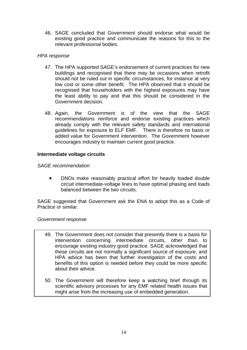46. SAGE concluded that Government should endorse what would be existing good practice and communicate the reasons for this to the relevant professional bodies.

# *HPA response*

- 47. The HPA supported SAGE's endorsement of current practices for new buildings and recognised that there may be occasions when retrofit should not be ruled out in specific circumstances, for instance at very low cost or some other benefit. The HPA observed that it should be recognised that householders with the highest exposures may have the least ability to pay and that this should be considered in the Government decision.
- 48. Again, the Government is of the view that the SAGE recommendations reinforce and endorse existing practices which already comply with the relevant safety standards and international guidelines for exposure to ELF EMF. There is therefore no basis or added value for Government intervention. The Government however encourages industry to maintain current good practice.

# **Intermediate voltage circuits**

# *SAGE recommendation*

• DNOs make reasonably practical effort for heavily loaded double circuit intermediate-voltage lines to have optimal phasing and loads balanced between the two circuits.

SAGE suggested that Government ask the ENA to adopt this as a Code of Practice or similar.

# *Government response*

- 49. The Government does not consider that presently there is a basis for intervention concerning intermediate circuits, other than to encourage existing industry good practice. SAGE acknowledged that these circuits are not normally a significant source of exposure, and HPA advice has been that further investigation of the costs and benefits of this option is needed before they could be more specific about their advice.
- 50. The Government will therefore keep a watching brief through its scientific advisory processes for any EMF related health issues that might arise from the increasing use of embedded generation.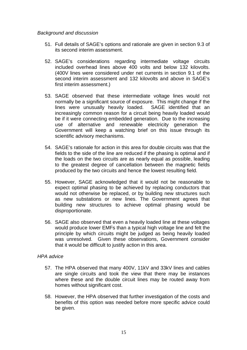## *Background and discussion*

- 51. Full details of SAGE's options and rationale are given in section 9.3 of its second interim assessment.
- 52. SAGE's considerations regarding intermediate voltage circuits second interim assessment and 132 kilovolts and above in SAGE's first interim assessment.) included overhead lines above 400 volts and below 132 kilovolts. (400V lines were considered under net currents in section 9.1 of the
- 53. SAGE observed that these intermediate voltage lines would not Government will keep a watching brief on this issue through its scientific advisory mechanisms. normally be a significant source of exposure. This might change if the lines were unusually heavily loaded. SAGE identified that an increasingly common reason for a circuit being heavily loaded would be if it were connecting embedded generation. Due to the increasing use of alternative and renewable electricity generation the
- 54. SAGE's rationale for action in this area for double circuits was that the to the greatest degree of cancellation between the magnetic fields produced by the two circuits and hence the lowest resulting field. fields to the side of the line are reduced if the phasing is optimal and if the loads on the two circuits are as nearly equal as possible, leading
- 55. However, SAGE acknowledged that it would not be reasonable to building new structures to achieve optimal phasing would be disproportionate. expect optimal phasing to be achieved by replacing conductors that would not otherwise be replaced, or by building new structures such as new substations or new lines. The Government agrees that
- 56. SAGE also observed that even a heavily loaded line at these voltages was unresolved. Given these observations, Government consider that it would be difficult to justify action in this area. would produce lower EMFs than a typical high voltage line and felt the principle by which circuits might be judged as being heavily loaded

# *PA advice H*

- 57. The HPA observed that many 400V, 11kV and 33kV lines and cables where these and the double circuit lines may be routed away from homes without significant cost. are single circuits and took the view that there may be instances
- 58. However, the HPA observed that further investigation of the costs and benefits of this option was needed before more specific advice could be given.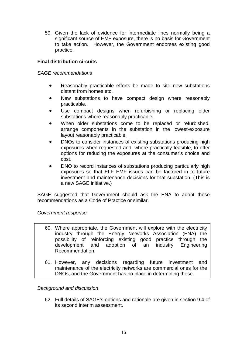59. Given the lack of evidence for intermediate lines normally being a significant source of EMF exposure, there is no basis for Government to take action. However, the Government endorses existing good practice.

# **Final distribution circuits**

# *SAGE recommendations*

- Reasonably practicable efforts be made to site new substations distant from homes etc.
- New substations to have compact design where reasonably practicable.
- Use compact designs when refurbishing or replacing older substations where reasonably practicable.
- When older substations come to be replaced or refurbished, arrange components in the substation in the lowest-exposure layout reasonably practicable.
- DNOs to consider instances of existing substations producing high exposures when requested and, where practically feasible, to offer options for reducing the exposures at the consumer's choice and cost.
- DNO to record instances of substations producing particularly high exposures so that ELF EMF issues can be factored in to future investment and mainten ance decisions for that substation. (This is • a new SAGE initiative.)

SAGE suggested that Government should ask the ENA to adopt these recommendations as a Code of Practice or similar.

# Government response

- 60. Where appropriate, the Government will explore with the electricity adoption of an industry Engineering Recommendation. industry through the Energy Networks Association (ENA) the possibility of reinforcing existing good practice through the development and
- 61. However, any decisions maintenance of the electricity networks are commercial ones for the DNOs, and the Government has no place in determining these. regarding future investment and

# **Background** and discussion

62. Full details of SAGE's options and rationale are given in section 9.4 of its second interim assessment.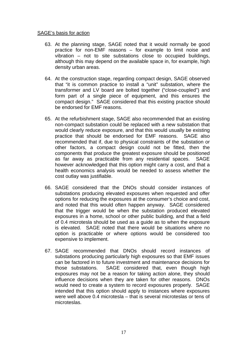## SAGE's basis for action

- 63. At the planning stage, SAGE noted that it would normally be good although this may depend on the available space in, for example, high density urban areas. practice for non-EMF reasons – for example to limit noise and vibration – not to site substations close to occupied buildings,
- 64. At the construction stage, regarding compact design, SAGE observed compact design." SAGE considered that this existing practice should be endorsed for EMF reasons. that "it is common practice to install a "unit" substation, where the transformer and LV board are bolted together ("close-coupled") and form part of a single piece of equipment, and this ensures the
- 65. At the refurbishment stage, SAGE also recommended that an existing health economics analysis would be needed to assess whether the cost outlay was justifiable. non-compact substation could be replaced with a new substation that would clearly reduce exposure, and that this would usually be existing practice that should be endorsed for EMF reasons. SAGE also recommended that if, due to physical constraints of the substation or other factors, a compact design could not be fitted, then the components that produce the greatest exposure should be positioned as far away as practicable from any residential spaces. SAGE however acknowledged that this option might carry a cost, and that a
- 66. SAGE considered that the DNOs should consider instances of option is practicable or where options would be considered too expensive to implement. substations producing elevated exposures when requested and offer options for reducing the exposures at the consumer's choice and cost, and noted that this would often happen anyway. SAGE considered that the trigger would be when the substation produced elevated exposures in a home, school or other public building, and that a field of 0.4 microtesla should be used as a guide as to when the exposure is elevated. SAGE noted that there would be situations where no
- 67. SAGE recommended that DNOs should record instances of were well above 0.4 microtesla – that is several microteslas or tens of microteslas. substations producing particularly high exposures so that EMF issues can be factored in to future investment and maintenance decisions for those substations. SAGE considered that, even though high exposures may not be a reason for taking action alone, they should influence decisions when they are taken for other reasons. DNOs would need to create a system to record exposures properly. SAGE intended that this option should apply to instances where exposures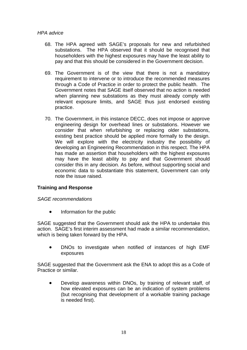# *HPA advice*

- 68. The HPA agreed with SAGE's proposals for new and refurbished householders with the highest exposures may have the least ability to pay and that this should be considered in the Government decision. substations. The HPA observed that it should be recognised that
- 69. The Government is of the view that there is not a mandatory relevant exposure limits, and SAGE thus just endorsed existing practice. requirement to intervene or to introduce the recommended measures through a Code of Practice in order to protect the public health. The Government notes that SAGE itself observed that no action is needed when planning new substations as they must already comply with
- 70. The Government, in this instance DECC, does not impose or approve economic data to substantiate this statement, Government can only note the issue raised. engineering design for overhead lines or substations. However we consider that when refurbishing or replacing older substations, existing best practice should be applied more formally to the design. We will explore with the electricity industry the possibility of developing an Engineering Recommendation in this respect. The HPA has made an assertion that householders with the highest exposures may have the least ability to pay and that Government should consider this in any decision. As before, without supporting social and

# **raining and Response T**

# *AGE recommendations S*

• Information for the public

action. SAGE's first interim assessment had made a similar recommendation, which is being taken forward by the HPA. SAGE suggested that the Government should ask the HPA to undertake this

• DNOs to investigate when notified of instances of high EMF exposures

SAGE suggested that the Government ask the ENA to adopt this as a Code of Practice or similar.

• (but recognising that development of a workable training package Develop awareness within DNOs, by training of relevant staff, of how elevated exposures can be an indication of system problems is needed first).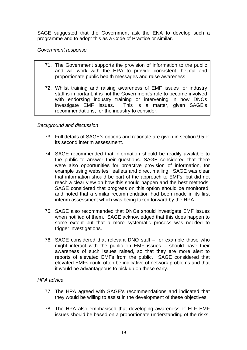SAGE suggested that the Government ask the ENA to develop such a programme and to adopt this as a Code of Practice or similar.

## *Go vernment response*

- 71. The Government supports the provision of information to the public and will work with the HPA to provide consistent, helpful and proportionate public health messages and raise awareness.
- 72. Whilst training and raising awareness of EMF issues for industry staff is important, it is not the Government's role to become involved with endorsing industry training or intervening in how DNOs This is a matter, given SAGE's recommendations, for the industry to consider. investigate EMF is

# *Backgro und and discussion*

- 73. Full details of SAGE's options and rationale are given in section 9.5 of its second interim assessment.
- 74. SAGE recommended that information should be readily available to reach a clear view on how this should happen and the best methods. SAGE considered that progress on this option should be monitored, the public to answer their questions. SAGE considered that there were also opportunities for proactive provision of information, for example using websites, leaflets and direct mailing. SAGE was clear that information should be part of the approach to EMFs, but did not and noted that a similar recommendation had been made in its first interim assessment which was being taken forward by the HPA.
- 75. SAGE also recommended that DNOs should investigate EMF issues when notified of them. SAGE acknowledged that this does happen to some extent but that a more systematic process was needed to trigger investigations.
- 76. SAGE considered that relevant DNO staff for example those who awareness of such issues raised, so that they are more alert to reports of elevated EMFs from the public. SAGE considered that elevated EMFs could often be indicative of network problems and that it would be advantageous to pick up on these early. might interact with the public on EMF issues – should have their

# *HPA ad vice*

- 77. The HPA agreed with SAGE's recommendations and indicated that they would be willing to assist in the development of these objectives.
- 78. The HPA also emphasised that developing awareness of ELF EMF issues should be based on a proportionate understanding of the risks,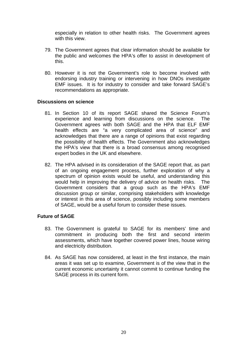especially in relation to other health risks. The Government agrees with this view.

- 79. The Government agrees that clear information should be available for the public and welcomes the HPA's offer to assist in development of this.
- 80. However it is not the Government's role to become involved with endorsing industry training or intervening in how DNOs investigate EMF issues. It is for industry to consider and take forward SAGE's recommendations as appropriate.

## **Discus sions on science**

- 81. In Section 10 of its report SAGE shared the Science Forum's acknowledges that there are a range of opinions that exist regarding the possibility of health effects. The Government also acknowledges experience and learning from discussions on the science. The Government agrees with both SAGE and the HPA that ELF EMF health effects are "a very complicated area of science" and the HPA's view that there is a broad consensus among recognised expert bodies in the UK and elsewhere.
- 82. The HPA advised in its consideration of the SAGE report that, as part Government considers that a group such as the HPA's EMF discussion group or similar, comprising stakeholders with knowledge or interest in this area of science, possibly including some members of SAGE, would be a useful forum to consider these issues. of an ongoing engagement process, further exploration of why a spectrum of opinion exists would be useful, and understanding this would help in improving the delivery of advice on health risks. The

# **Future of SAGE**

- 83. The Government is grateful to SAGE for its members' time and commitment in producing both the first and second interim assessments, which have together covered power lines, house wiring and electricity distribution.
- 84. As SAGE has now considered, at least in the first instance, the main areas it was set up to examine, Government is of the view that in the current economic uncertainty it cannot commit to continue funding the SAGE process in its current form.